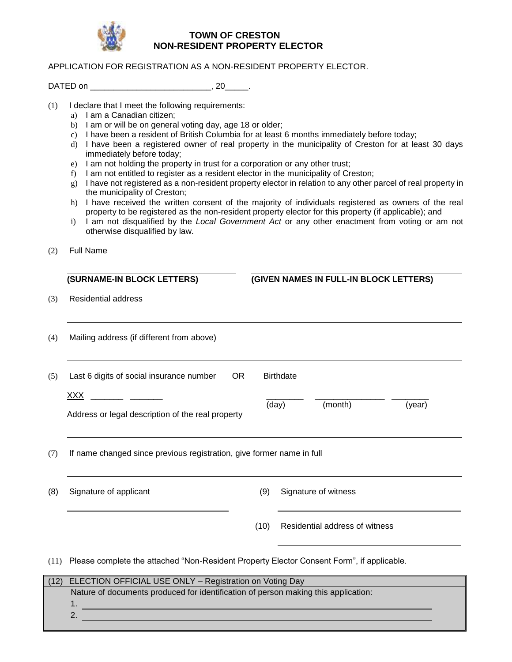

## **TOWN OF CRESTON NON-RESIDENT PROPERTY ELECTOR**

## APPLICATION FOR REGISTRATION AS A NON-RESIDENT PROPERTY ELECTOR.

DATED on \_\_\_\_\_\_\_\_\_\_\_\_\_\_\_\_\_\_\_\_\_\_\_\_\_\_\_\_\_\_\_\_\_\_, 20\_\_\_\_\_\_.

- (1) I declare that I meet the following requirements:
	- a) I am a Canadian citizen;
	- b) I am or will be on general voting day, age 18 or older;
	- c) I have been a resident of British Columbia for at least 6 months immediately before today;
	- d) I have been a registered owner of real property in the municipality of Creston for at least 30 days immediately before today;
	- e) I am not holding the property in trust for a corporation or any other trust;
	- f) I am not entitled to register as a resident elector in the municipality of Creston;
	- g) I have not registered as a non-resident property elector in relation to any other parcel of real property in the municipality of Creston;
	- h) I have received the written consent of the majority of individuals registered as owners of the real property to be registered as the non-resident property elector for this property (if applicable); and
	- i) I am not disqualified by the *Local Government Act* or any other enactment from voting or am not otherwise disqualified by law.
- (2) Full Name

1. 2.

|      | (SURNAME-IN BLOCK LETTERS)                                                                |                                                                                    | (GIVEN NAMES IN FULL-IN BLOCK LETTERS) |  |
|------|-------------------------------------------------------------------------------------------|------------------------------------------------------------------------------------|----------------------------------------|--|
| (3)  | <b>Residential address</b>                                                                |                                                                                    |                                        |  |
| (4)  | Mailing address (if different from above)                                                 |                                                                                    |                                        |  |
| (5)  | Last 6 digits of social insurance number<br><b>OR</b>                                     |                                                                                    | <b>Birthdate</b>                       |  |
|      | <u>XXX</u>                                                                                |                                                                                    | (day)<br>(month)<br>(year)             |  |
|      | Address or legal description of the real property                                         |                                                                                    |                                        |  |
| (7)  | If name changed since previous registration, give former name in full                     |                                                                                    |                                        |  |
| (8)  | Signature of applicant                                                                    | (9)                                                                                | Signature of witness                   |  |
|      |                                                                                           | (10)                                                                               | Residential address of witness         |  |
| (11) | Please complete the attached "Non-Resident Property Elector Consent Form", if applicable. |                                                                                    |                                        |  |
| (12) | ELECTION OFFICIAL USE ONLY - Registration on Voting Day                                   |                                                                                    |                                        |  |
|      |                                                                                           | Nature of documents produced for identification of person making this application: |                                        |  |